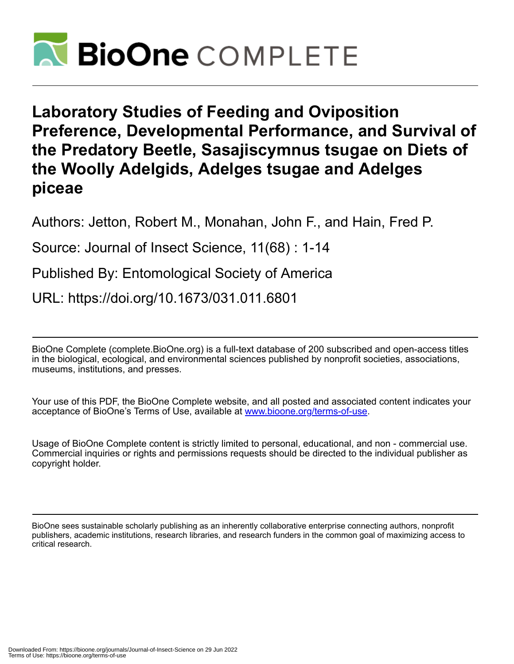

**Laboratory Studies of Feeding and Oviposition Preference, Developmental Performance, and Survival of the Predatory Beetle, Sasajiscymnus tsugae on Diets of the Woolly Adelgids, Adelges tsugae and Adelges piceae**

Authors: Jetton, Robert M., Monahan, John F., and Hain, Fred P.

Source: Journal of Insect Science, 11(68) : 1-14

Published By: Entomological Society of America

URL: https://doi.org/10.1673/031.011.6801

BioOne Complete (complete.BioOne.org) is a full-text database of 200 subscribed and open-access titles in the biological, ecological, and environmental sciences published by nonprofit societies, associations, museums, institutions, and presses.

Your use of this PDF, the BioOne Complete website, and all posted and associated content indicates your acceptance of BioOne's Terms of Use, available at www.bioone.org/terms-of-use.

Usage of BioOne Complete content is strictly limited to personal, educational, and non - commercial use. Commercial inquiries or rights and permissions requests should be directed to the individual publisher as copyright holder.

BioOne sees sustainable scholarly publishing as an inherently collaborative enterprise connecting authors, nonprofit publishers, academic institutions, research libraries, and research funders in the common goal of maximizing access to critical research.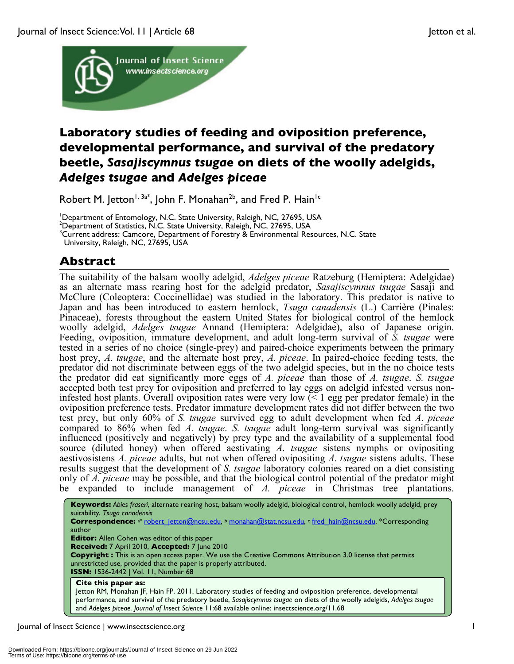

# **Laboratory studies of feeding and oviposition preference, developmental performance, and survival of the predatory beetle,** *Sasajiscymnus tsugae* **on diets of the woolly adelgids,** *Adelges tsugae* **and** *Adelges piceae*

Robert M. Jetton<sup>1, 3a\*</sup>, John F. Monahan<sup>2b</sup>, and Fred P. Hain<sup>1c</sup>

<sup>1</sup>Department of Entomology, N.C. State University, Raleigh, NC, 27695, USA<br><sup>2</sup>Department of Statistics, N.C. State University, Raleigh, N.C. 27695, USA

 $^{2}$ Department of Statistics, N.C. State University, Raleigh, NC, 27695, USA

 $^3$ Current address: Camcore, Department of Forestry  $\bar{\textbf{z}}$  Environmental Resources, N.C. State

University, Raleigh, NC, 27695, USA

# **Abstract**

The suitability of the balsam woolly adelgid, *Adelges piceae* Ratzeburg (Hemiptera: Adelgidae) as an alternate mass rearing host for the adelgid predator, *Sasajiscymnus tsugae* Sasaji and McClure (Coleoptera: Coccinellidae) was studied in the laboratory. This predator is native to Japan and has been introduced to eastern hemlock, *Tsuga canadensis* (L.) Carrière (Pinales: Pinaceae), forests throughout the eastern United States for biological control of the hemlock woolly adelgid, *Adelges tsugae* Annand (Hemiptera: Adelgidae), also of Japanese origin. Feeding, oviposition, immature development, and adult long-term survival of *S. tsugae* were tested in a series of no choice (single-prey) and paired-choice experiments between the primary host prey, *A. tsugae*, and the alternate host prey, *A. piceae*. In paired-choice feeding tests, the predator did not discriminate between eggs of the two adelgid species, but in the no choice tests the predator did eat significantly more eggs of *A. piceae* than those of *A. tsugae*. *S. tsugae* accepted both test prey for oviposition and preferred to lay eggs on adelgid infested versus noninfested host plants. Overall oviposition rates were very low (< 1 egg per predator female) in the oviposition preference tests. Predator immature development rates did not differ between the two test prey, but only 60% of *S. tsugae* survived egg to adult development when fed *A. piceae* compared to 86% when fed *A. tsugae*. *S. tsugae* adult long-term survival was significantly influenced (positively and negatively) by prey type and the availability of a supplemental food source (diluted honey) when offered aestivating *A. tsugae* sistens nymphs or ovipositing aestivosistens *A. piceae* adults, but not when offered ovipositing *A. tsugae* sistens adults. These results suggest that the development of *S. tsugae* laboratory colonies reared on a diet consisting only of *A. piceae* may be possible, and that the biological control potential of the predator might be expanded to include management of *A. piceae* in Christmas tree plantations.

**Keywords:** *Abies fraseri*, alternate rearing host, balsam woolly adelgid, biological control, hemlock woolly adelgid, prey suitability, *Tsuga canadensis* Correspondence: a\* robert\_jetton@ncsu.edu, <sup>b</sup> monahan@stat.ncsu.edu, c fred\_hain@ncsu.edu, \*Corresponding author **Editor:** Allen Cohen was editor of this paper **Received:** 7 April 2010, **Accepted:** 7 June 2010 **Copyright :** This is an open access paper. We use the Creative Commons Attribution 3.0 license that permits unrestricted use, provided that the paper is properly attributed. **ISSN:** 1536-2442 | Vol. 11, Number 68 **Cite this paper as:** Jetton RM, Monahan JF, Hain FP. 2011. Laboratory studies of feeding and oviposition preference, developmental performance, and survival of the predatory beetle, *Sasajiscymnus tsugae* on diets of the woolly adelgids, *Adelges tsugae* and *Adelges piceae. Journal of Insect Science* 11:68 available online: insectscience.org/11.68

Journal of Insect Science | www.insectscience.org 1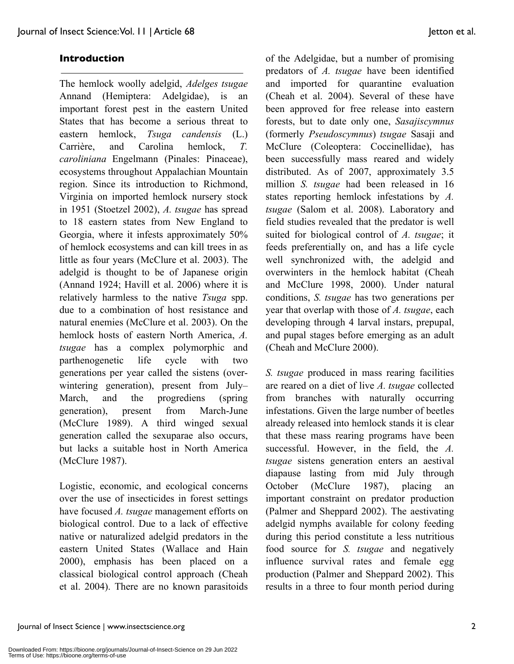## **Introduction**

The hemlock woolly adelgid, *Adelges tsugae* Annand (Hemiptera: Adelgidae), is an important forest pest in the eastern United States that has become a serious threat to eastern hemlock, *Tsuga candensis* (L.) Carrière, and Carolina hemlock, *T. caroliniana* Engelmann (Pinales: Pinaceae), ecosystems throughout Appalachian Mountain region. Since its introduction to Richmond, Virginia on imported hemlock nursery stock in 1951 (Stoetzel 2002), *A. tsugae* has spread to 18 eastern states from New England to Georgia, where it infests approximately 50% of hemlock ecosystems and can kill trees in as little as four years (McClure et al. 2003). The adelgid is thought to be of Japanese origin (Annand 1924; Havill et al. 2006) where it is relatively harmless to the native *Tsuga* spp. due to a combination of host resistance and natural enemies (McClure et al. 2003). On the hemlock hosts of eastern North America, *A. tsugae* has a complex polymorphic and parthenogenetic life cycle with two generations per year called the sistens (overwintering generation), present from July– March, and the progrediens (spring generation), present from March-June (McClure 1989). A third winged sexual generation called the sexuparae also occurs, but lacks a suitable host in North America (McClure 1987).

Logistic, economic, and ecological concerns over the use of insecticides in forest settings have focused *A. tsugae* management efforts on biological control. Due to a lack of effective native or naturalized adelgid predators in the eastern United States (Wallace and Hain 2000), emphasis has been placed on a classical biological control approach (Cheah et al. 2004). There are no known parasitoids of the Adelgidae, but a number of promising predators of *A. tsugae* have been identified and imported for quarantine evaluation (Cheah et al. 2004). Several of these have been approved for free release into eastern forests, but to date only one, *Sasajiscymnus* (formerly *Pseudoscymnus*) *tsugae* Sasaji and McClure (Coleoptera: Coccinellidae), has been successfully mass reared and widely distributed. As of 2007, approximately 3.5 million *S. tsugae* had been released in 16 states reporting hemlock infestations by *A. tsugae* (Salom et al. 2008). Laboratory and field studies revealed that the predator is well suited for biological control of *A. tsugae*; it feeds preferentially on, and has a life cycle well synchronized with, the adelgid and overwinters in the hemlock habitat (Cheah and McClure 1998, 2000). Under natural conditions, *S. tsugae* has two generations per year that overlap with those of *A. tsugae*, each developing through 4 larval instars, prepupal, and pupal stages before emerging as an adult (Cheah and McClure 2000).

*S. tsugae* produced in mass rearing facilities are reared on a diet of live *A. tsugae* collected from branches with naturally occurring infestations. Given the large number of beetles already released into hemlock stands it is clear that these mass rearing programs have been successful. However, in the field, the *A. tsugae* sistens generation enters an aestival diapause lasting from mid July through October (McClure 1987), placing an important constraint on predator production (Palmer and Sheppard 2002). The aestivating adelgid nymphs available for colony feeding during this period constitute a less nutritious food source for *S. tsugae* and negatively influence survival rates and female egg production (Palmer and Sheppard 2002). This results in a three to four month period during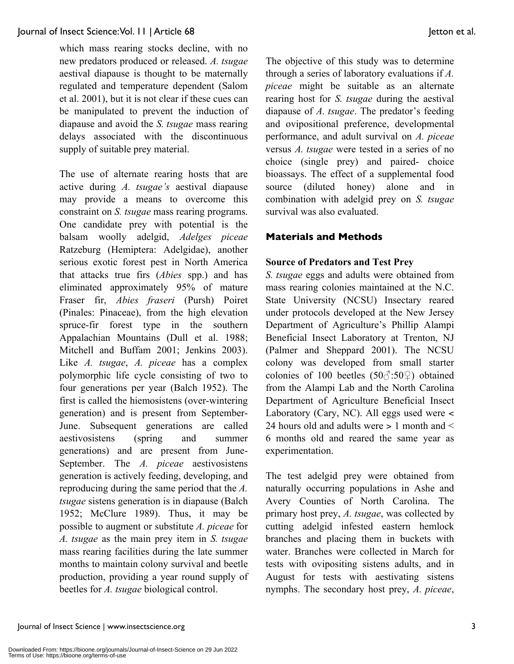which mass rearing stocks decline, with no new predators produced or released. *A. tsugae* aestival diapause is thought to be maternally regulated and temperature dependent (Salom et al. 2001), but it is not clear if these cues can be manipulated to prevent the induction of diapause and avoid the *S. tsugae* mass rearing delays associated with the discontinuous supply of suitable prey material.

The use of alternate rearing hosts that are active during *A. tsugae's* aestival diapause may provide a means to overcome this constraint on *S. tsugae* mass rearing programs. One candidate prey with potential is the balsam woolly adelgid, *Adelges piceae* Ratzeburg (Hemiptera: Adelgidae), another serious exotic forest pest in North America that attacks true firs (*Abies* spp.) and has eliminated approximately 95% of mature Fraser fir, *Abies fraseri* (Pursh) Poiret (Pinales: Pinaceae), from the high elevation spruce-fir forest type in the southern Appalachian Mountains (Dull et al. 1988; Mitchell and Buffam 2001; Jenkins 2003). Like *A. tsugae*, *A. piceae* has a complex polymorphic life cycle consisting of two to four generations per year (Balch 1952). The first is called the hiemosistens (over-wintering generation) and is present from September-June. Subsequent generations are called aestivosistens (spring and summer generations) and are present from June-September. The *A. piceae* aestivosistens generation is actively feeding, developing, and reproducing during the same period that the *A. tsugae* sistens generation is in diapause (Balch 1952; McClure 1989). Thus, it may be possible to augment or substitute *A. piceae* for *A. tsugae* as the main prey item in *S. tsugae* mass rearing facilities during the late summer months to maintain colony survival and beetle production, providing a year round supply of beetles for *A. tsugae* biological control.

The objective of this study was to determine through a series of laboratory evaluations if *A. piceae* might be suitable as an alternate rearing host for *S. tsugae* during the aestival diapause of *A. tsugae*. The predator's feeding and ovipositional preference, developmental performance, and adult survival on *A. piceae* versus *A. tsugae* were tested in a series of no choice (single prey) and paired- choice bioassays. The effect of a supplemental food source (diluted honey) alone and in combination with adelgid prey on *S. tsugae* survival was also evaluated.

## **Materials and Methods**

## **Source of Predators and Test Prey**

*S. tsugae* eggs and adults were obtained from mass rearing colonies maintained at the N.C. State University (NCSU) Insectary reared under protocols developed at the New Jersey Department of Agriculture's Phillip Alampi Beneficial Insect Laboratory at Trenton, NJ (Palmer and Sheppard 2001). The NCSU colony was developed from small starter colonies of 100 beetles  $(50\textcircled{3} : 50\textcircled{2})$  obtained from the Alampi Lab and the North Carolina Department of Agriculture Beneficial Insect Laboratory (Cary, NC). All eggs used were < 24 hours old and adults were > 1 month and < 6 months old and reared the same year as experimentation.

The test adelgid prey were obtained from naturally occurring populations in Ashe and Avery Counties of North Carolina. The primary host prey, *A. tsugae*, was collected by cutting adelgid infested eastern hemlock branches and placing them in buckets with water. Branches were collected in March for tests with ovipositing sistens adults, and in August for tests with aestivating sistens nymphs. The secondary host prey, *A. piceae*,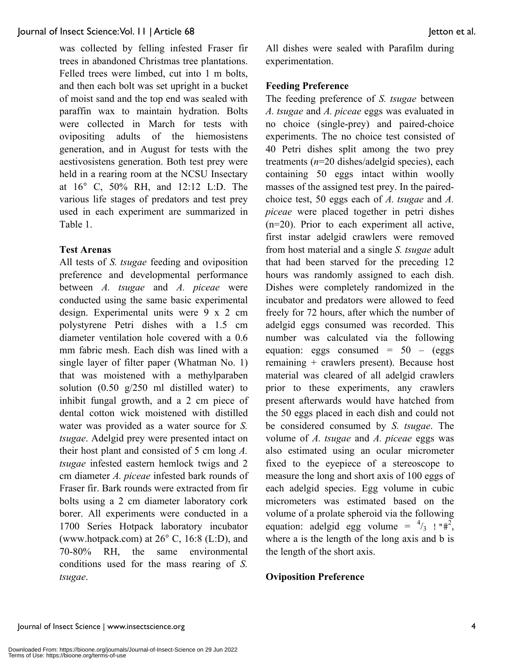was collected by felling infested Fraser fir trees in abandoned Christmas tree plantations. Felled trees were limbed, cut into 1 m bolts, and then each bolt was set upright in a bucket of moist sand and the top end was sealed with paraffin wax to maintain hydration. Bolts were collected in March for tests with ovipositing adults of the hiemosistens generation, and in August for tests with the aestivosistens generation. Both test prey were held in a rearing room at the NCSU Insectary at 16° C, 50% RH, and 12:12 L:D. The various life stages of predators and test prey used in each experiment are summarized in Table 1.

### **Test Arenas**

All tests of *S. tsugae* feeding and oviposition preference and developmental performance between *A. tsugae* and *A. piceae* were conducted using the same basic experimental design. Experimental units were 9 x 2 cm polystyrene Petri dishes with a 1.5 cm diameter ventilation hole covered with a 0.6 mm fabric mesh. Each dish was lined with a single layer of filter paper (Whatman No. 1) that was moistened with a methylparaben solution (0.50 g/250 ml distilled water) to inhibit fungal growth, and a 2 cm piece of dental cotton wick moistened with distilled water was provided as a water source for *S. tsugae*. Adelgid prey were presented intact on their host plant and consisted of 5 cm long *A. tsugae* infested eastern hemlock twigs and 2 cm diameter *A. piceae* infested bark rounds of Fraser fir. Bark rounds were extracted from fir bolts using a 2 cm diameter laboratory cork borer. All experiments were conducted in a 1700 Series Hotpack laboratory incubator (www.hotpack.com) at 26° C, 16:8 (L:D), and 70-80% RH, the same environmental conditions used for the mass rearing of *S. tsugae*.

All dishes were sealed with Parafilm during experimentation.

## **Feeding Preference**

The feeding preference of *S. tsugae* between *A. tsugae* and *A. piceae* eggs was evaluated in no choice (single-prey) and paired-choice experiments. The no choice test consisted of 40 Petri dishes split among the two prey treatments (*n*=20 dishes/adelgid species), each containing 50 eggs intact within woolly masses of the assigned test prey. In the pairedchoice test, 50 eggs each of *A. tsugae* and *A. piceae* were placed together in petri dishes (n=20). Prior to each experiment all active, first instar adelgid crawlers were removed from host material and a single *S. tsugae* adult that had been starved for the preceding 12 hours was randomly assigned to each dish. Dishes were completely randomized in the incubator and predators were allowed to feed freely for 72 hours, after which the number of adelgid eggs consumed was recorded. This number was calculated via the following equation: eggs consumed =  $50 - (eggs$ remaining + crawlers present). Because host material was cleared of all adelgid crawlers prior to these experiments, any crawlers present afterwards would have hatched from the 50 eggs placed in each dish and could not be considered consumed by *S. tsugae*. The volume of *A. tsugae* and *A. piceae* eggs was also estimated using an ocular micrometer fixed to the eyepiece of a stereoscope to measure the long and short axis of 100 eggs of each adelgid species. Egg volume in cubic micrometers was estimated based on the volume of a prolate spheroid via the following equation: adelgid egg volume =  $\frac{4}{3}$  ! "#<sup>2</sup>, where a is the length of the long axis and b is the length of the short axis.

### **Oviposition Preference**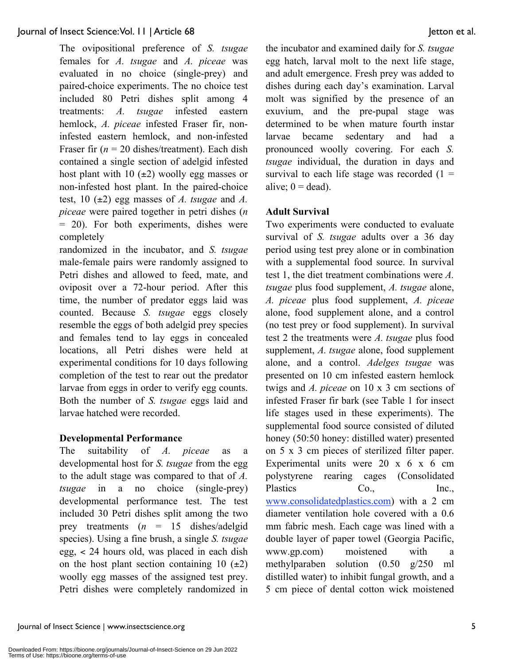The ovipositional preference of *S. tsugae* females for *A. tsugae* and *A. piceae* was evaluated in no choice (single-prey) and paired-choice experiments. The no choice test included 80 Petri dishes split among 4 treatments: *A. tsugae* infested eastern hemlock, *A. piceae* infested Fraser fir, noninfested eastern hemlock, and non-infested Fraser fir  $(n = 20 \text{ dishes/treatment})$ . Each dish contained a single section of adelgid infested host plant with 10  $(\pm 2)$  woolly egg masses or non-infested host plant. In the paired-choice test, 10 (±2) egg masses of *A. tsugae* and *A. piceae* were paired together in petri dishes (*n* = 20). For both experiments, dishes were completely

randomized in the incubator, and *S. tsugae* male-female pairs were randomly assigned to Petri dishes and allowed to feed, mate, and oviposit over a 72-hour period. After this time, the number of predator eggs laid was counted. Because *S. tsugae* eggs closely resemble the eggs of both adelgid prey species and females tend to lay eggs in concealed locations, all Petri dishes were held at experimental conditions for 10 days following completion of the test to rear out the predator larvae from eggs in order to verify egg counts. Both the number of *S. tsugae* eggs laid and larvae hatched were recorded.

## **Developmental Performance**

The suitability of *A. piceae* as a developmental host for *S. tsugae* from the egg to the adult stage was compared to that of *A. tsugae* in a no choice (single-prey) developmental performance test. The test included 30 Petri dishes split among the two prey treatments (*n* = 15 dishes/adelgid species). Using a fine brush, a single *S. tsugae* egg, < 24 hours old, was placed in each dish on the host plant section containing 10  $(\pm 2)$ woolly egg masses of the assigned test prey. Petri dishes were completely randomized in the incubator and examined daily for *S. tsugae* egg hatch, larval molt to the next life stage, and adult emergence. Fresh prey was added to dishes during each day's examination. Larval molt was signified by the presence of an exuvium, and the pre-pupal stage was determined to be when mature fourth instar larvae became sedentary and had a pronounced woolly covering. For each *S. tsugae* individual, the duration in days and survival to each life stage was recorded  $(1 =$ alive;  $0 = dead$ ).

# **Adult Survival**

Two experiments were conducted to evaluate survival of *S. tsugae* adults over a 36 day period using test prey alone or in combination with a supplemental food source. In survival test 1, the diet treatment combinations were *A. tsugae* plus food supplement, *A. tsugae* alone, *A. piceae* plus food supplement, *A. piceae* alone, food supplement alone, and a control (no test prey or food supplement). In survival test 2 the treatments were *A. tsugae* plus food supplement, *A. tsugae* alone, food supplement alone, and a control. *Adelges tsugae* was presented on 10 cm infested eastern hemlock twigs and *A. piceae* on 10 x 3 cm sections of infested Fraser fir bark (see Table 1 for insect life stages used in these experiments). The supplemental food source consisted of diluted honey (50:50 honey: distilled water) presented on 5 x 3 cm pieces of sterilized filter paper. Experimental units were 20 x 6 x 6 cm polystyrene rearing cages (Consolidated Plastics Co., Inc., www.consolidatedplastics.com) with a 2 cm diameter ventilation hole covered with a 0.6 mm fabric mesh. Each cage was lined with a double layer of paper towel (Georgia Pacific, www.gp.com) moistened with a methylparaben solution (0.50 g/250 ml distilled water) to inhibit fungal growth, and a 5 cm piece of dental cotton wick moistened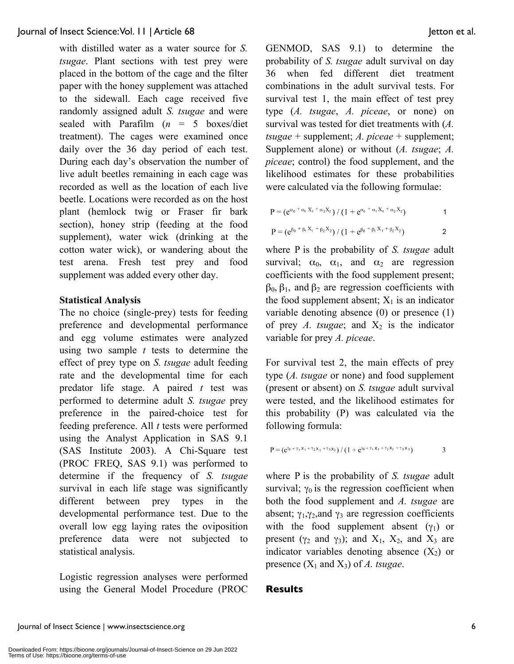with distilled water as a water source for *S. tsugae*. Plant sections with test prey were placed in the bottom of the cage and the filter paper with the honey supplement was attached to the sidewall. Each cage received five randomly assigned adult *S. tsugae* and were sealed with Parafilm  $(n = 5$  boxes/diet treatment). The cages were examined once daily over the 36 day period of each test. During each day's observation the number of live adult beetles remaining in each cage was recorded as well as the location of each live beetle. Locations were recorded as on the host plant (hemlock twig or Fraser fir bark section), honey strip (feeding at the food supplement), water wick (drinking at the cotton water wick), or wandering about the test arena. Fresh test prey and food supplement was added every other day.

## **Statistical Analysis**

The no choice (single-prey) tests for feeding preference and developmental performance and egg volume estimates were analyzed using two sample *t* tests to determine the effect of prey type on *S. tsugae* adult feeding rate and the developmental time for each predator life stage. A paired *t* test was performed to determine adult *S. tsugae* prey preference in the paired-choice test for feeding preference. All *t* tests were performed using the Analyst Application in SAS 9.1 (SAS Institute 2003). A Chi-Square test (PROC FREQ, SAS 9.1) was performed to determine if the frequency of *S. tsugae* survival in each life stage was significantly different between prey types in the developmental performance test. Due to the overall low egg laying rates the oviposition preference data were not subjected to statistical analysis.

Logistic regression analyses were performed using the General Model Procedure (PROC GENMOD, SAS 9.1) to determine the probability of *S. tsugae* adult survival on day 36 when fed different diet treatment combinations in the adult survival tests. For survival test 1, the main effect of test prey type (*A. tsugae*, *A. piceae*, or none) on survival was tested for diet treatments with (*A. tsugae* + supplement; *A. piceae* + supplement; Supplement alone) or without (*A. tsugae*; *A. piceae*; control) the food supplement, and the likelihood estimates for these probabilities were calculated via the following formulae:

$$
P = (e^{\alpha_0 + \alpha_1 X_1 + \alpha_2 X_2}) / (1 + e^{\alpha_0 + \alpha_1 X_1 + \alpha_2 X_2})
$$
  
\n
$$
P = (e^{\beta_0 + \beta_1 X_1 + \beta_2 X_2}) / (1 + e^{\beta_0 + \beta_1 X_1 + \beta_2 X_2})
$$
 2

where P is the probability of *S. tsugae* adult survival;  $\alpha_0$ ,  $\alpha_1$ , and  $\alpha_2$  are regression coefficients with the food supplement present;  $\beta_0$ ,  $\beta_1$ , and  $\beta_2$  are regression coefficients with the food supplement absent;  $X_1$  is an indicator variable denoting absence (0) or presence (1) of prey *A. tsugae*; and  $X_2$  is the indicator variable for prey *A. piceae*.

For survival test 2, the main effects of prey type (*A. tsugae* or none) and food supplement (present or absent) on *S. tsugae* adult survival were tested, and the likelihood estimates for this probability (P) was calculated via the following formula:

$$
P = (e^{y_0 + \gamma_1 x_1 + \gamma_2 x_2 + \gamma_3 x_3}) / (1 + e^{y_0 + \gamma_1 x_1 + \gamma_2 x_2 + \gamma_3 x_3})
$$
 3

where P is the probability of *S. tsugae* adult survival;  $\gamma_0$  is the regression coefficient when both the food supplement and *A. tsugae* are absent;  $\gamma_1, \gamma_2$  and  $\gamma_3$  are regression coefficients with the food supplement absent  $(y_1)$  or present ( $\gamma_2$  and  $\gamma_3$ ); and  $X_1$ ,  $X_2$ , and  $X_3$  are indicator variables denoting absence  $(X_2)$  or presence  $(X_1 \text{ and } X_3)$  of *A. tsugae.* 

### **Results**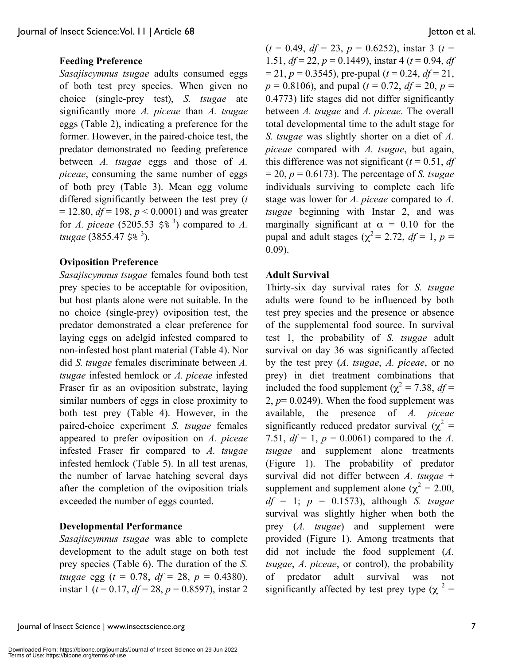## **Feeding Preference**

*Sasajiscymnus tsugae* adults consumed eggs of both test prey species. When given no choice (single-prey test), *S. tsugae* ate significantly more *A. piceae* than *A. tsugae* eggs (Table 2), indicating a preference for the former. However, in the paired-choice test, the predator demonstrated no feeding preference between *A. tsugae* eggs and those of *A. piceae*, consuming the same number of eggs of both prey (Table 3). Mean egg volume differed significantly between the test prey (*t*  $= 12.80, df = 198, p < 0.0001$  and was greater for *A. piceae* (5205.53  $\lessgtr$ <sup>3</sup>) compared to *A.* tsugae (3855.47 \$%<sup>3</sup>).

#### **Oviposition Preference**

*Sasajiscymnus tsugae* females found both test prey species to be acceptable for oviposition, but host plants alone were not suitable. In the no choice (single-prey) oviposition test, the predator demonstrated a clear preference for laying eggs on adelgid infested compared to non-infested host plant material (Table 4). Nor did *S. tsugae* females discriminate between *A. tsugae* infested hemlock or *A. piceae* infested Fraser fir as an oviposition substrate, laying similar numbers of eggs in close proximity to both test prey (Table 4). However, in the paired-choice experiment *S. tsugae* females appeared to prefer oviposition on *A. piceae* infested Fraser fir compared to *A. tsugae* infested hemlock (Table 5). In all test arenas, the number of larvae hatching several days after the completion of the oviposition trials exceeded the number of eggs counted.

## **Developmental Performance**

*Sasajiscymnus tsugae* was able to complete development to the adult stage on both test prey species (Table 6). The duration of the *S. tsugae* egg (*t* = 0.78, *df* = 28, *p* = 0.4380), instar 1 (*t* = 0.17, *df* = 28, *p* = 0.8597), instar 2

 $(t = 0.49, df = 23, p = 0.6252)$ , instar 3 (*t* = 1.51, *df* = 22, *p* = 0.1449), instar 4 (*t* = 0.94, *df*  $= 21, p = 0.3545$ , pre-pupal ( $t = 0.24, df = 21$ ,  $p = 0.8106$ , and pupal ( $t = 0.72$ ,  $df = 20$ ,  $p =$ 0.4773) life stages did not differ significantly between *A. tsugae* and *A. piceae*. The overall total developmental time to the adult stage for *S. tsugae* was slightly shorter on a diet of *A. piceae* compared with *A. tsugae*, but again, this difference was not significant  $(t = 0.51, df)$  $= 20$ ,  $p = 0.6173$ ). The percentage of *S. tsugae* individuals surviving to complete each life stage was lower for *A. piceae* compared to *A. tsugae* beginning with Instar 2, and was marginally significant at  $\alpha = 0.10$  for the pupal and adult stages ( $\gamma^2$  = 2.72, *df* = 1, *p* = 0.09).

#### **Adult Survival**

Thirty-six day survival rates for *S. tsugae* adults were found to be influenced by both test prey species and the presence or absence of the supplemental food source. In survival test 1, the probability of *S. tsugae* adult survival on day 36 was significantly affected by the test prey (*A. tsugae*, *A. piceae*, or no prey) in diet treatment combinations that included the food supplement ( $\chi^2$  = 7.38, *df* = 2,  $p=0.0249$ ). When the food supplement was available, the presence of *A. piceae* significantly reduced predator survival  $(\chi^2 =$ 7.51,  $df = 1$ ,  $p = 0.0061$ ) compared to the *A*. *tsugae* and supplement alone treatments (Figure 1). The probability of predator survival did not differ between *A. tsugae* + supplement and supplement alone ( $\chi^2 = 2.00$ , *df* = 1; *p* = 0.1573), although *S. tsugae* survival was slightly higher when both the prey (*A. tsugae*) and supplement were provided (Figure 1). Among treatments that did not include the food supplement (*A. tsugae*, *A. piceae*, or control), the probability of predator adult survival was not significantly affected by test prey type ( $\chi^2$  =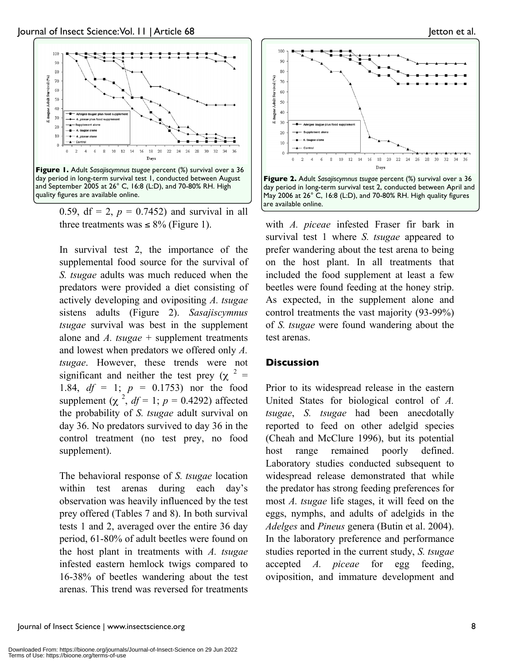

0.59, df = 2,  $p = 0.7452$ ) and survival in all three treatments was  $\leq 8\%$  (Figure 1).

In survival test 2, the importance of the supplemental food source for the survival of *S. tsugae* adults was much reduced when the predators were provided a diet consisting of actively developing and ovipositing *A. tsugae* sistens adults (Figure 2). *Sasajiscymnus tsugae* survival was best in the supplement alone and *A. tsugae* + supplement treatments and lowest when predators we offered only *A. tsugae*. However, these trends were not significant and neither the test prey ( $\chi$ <sup>2</sup> = 1.84, *df* = 1; *p* = 0.1753) nor the food supplement  $(\chi^2, df = 1; p = 0.4292)$  affected the probability of *S. tsugae* adult survival on day 36. No predators survived to day 36 in the control treatment (no test prey, no food supplement).

The behavioral response of *S. tsugae* location within test arenas during each day's observation was heavily influenced by the test prey offered (Tables 7 and 8). In both survival tests 1 and 2, averaged over the entire 36 day period, 61-80% of adult beetles were found on the host plant in treatments with *A. tsugae* infested eastern hemlock twigs compared to 16-38% of beetles wandering about the test arenas. This trend was reversed for treatments



with *A. piceae* infested Fraser fir bark in survival test 1 where *S. tsugae* appeared to prefer wandering about the test arena to being on the host plant. In all treatments that included the food supplement at least a few beetles were found feeding at the honey strip. As expected, in the supplement alone and control treatments the vast majority (93-99%) of *S. tsugae* were found wandering about the test arenas.

### **Discussion**

Prior to its widespread release in the eastern United States for biological control of *A. tsugae*, *S. tsugae* had been anecdotally reported to feed on other adelgid species (Cheah and McClure 1996), but its potential host range remained poorly defined. Laboratory studies conducted subsequent to widespread release demonstrated that while the predator has strong feeding preferences for most *A. tsugae* life stages, it will feed on the eggs, nymphs, and adults of adelgids in the *Adelges* and *Pineus* genera (Butin et al. 2004). In the laboratory preference and performance studies reported in the current study, *S. tsugae* accepted *A. piceae* for egg feeding, oviposition, and immature development and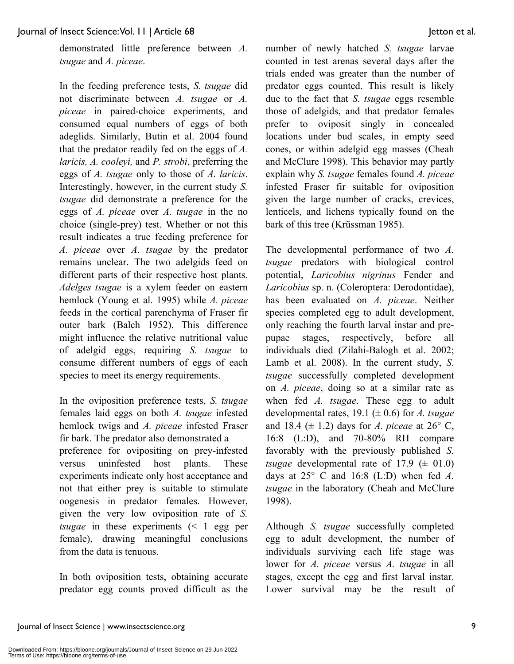demonstrated little preference between *A. tsugae* and *A. piceae*.

In the feeding preference tests, *S. tsugae* did not discriminate between *A. tsugae* or *A. piceae* in paired-choice experiments, and consumed equal numbers of eggs of both adeglids. Similarly, Butin et al. 2004 found that the predator readily fed on the eggs of *A. laricis, A. cooleyi,* and *P. strobi*, preferring the eggs of *A. tsugae* only to those of *A. laricis*. Interestingly, however, in the current study *S. tsugae* did demonstrate a preference for the eggs of *A. piceae* over *A. tsugae* in the no choice (single-prey) test. Whether or not this result indicates a true feeding preference for *A. piceae* over *A. tsugae* by the predator remains unclear. The two adelgids feed on different parts of their respective host plants. *Adelges tsugae* is a xylem feeder on eastern hemlock (Young et al. 1995) while *A. piceae* feeds in the cortical parenchyma of Fraser fir outer bark (Balch 1952). This difference might influence the relative nutritional value of adelgid eggs, requiring *S. tsugae* to consume different numbers of eggs of each species to meet its energy requirements.

In the oviposition preference tests, *S. tsugae* females laid eggs on both *A. tsugae* infested hemlock twigs and *A. piceae* infested Fraser fir bark. The predator also demonstrated a preference for ovipositing on prey-infested versus uninfested host plants. These experiments indicate only host acceptance and not that either prey is suitable to stimulate oogenesis in predator females. However, given the very low oviposition rate of *S. tsugae* in these experiments (< 1 egg per female), drawing meaningful conclusions from the data is tenuous.

In both oviposition tests, obtaining accurate predator egg counts proved difficult as the number of newly hatched *S. tsugae* larvae counted in test arenas several days after the trials ended was greater than the number of predator eggs counted. This result is likely due to the fact that *S. tsugae* eggs resemble those of adelgids, and that predator females prefer to oviposit singly in concealed locations under bud scales, in empty seed cones, or within adelgid egg masses (Cheah and McClure 1998). This behavior may partly explain why *S. tsugae* females found *A. piceae* infested Fraser fir suitable for oviposition given the large number of cracks, crevices, lenticels, and lichens typically found on the bark of this tree (Krüssman 1985).

The developmental performance of two *A. tsugae* predators with biological control potential, *Laricobius nigrinus* Fender and *Laricobius* sp. n. (Coleroptera: Derodontidae), has been evaluated on *A. piceae*. Neither species completed egg to adult development, only reaching the fourth larval instar and prepupae stages, respectively, before all individuals died (Zilahi-Balogh et al. 2002; Lamb et al. 2008). In the current study, *S. tsugae* successfully completed development on *A. piceae*, doing so at a similar rate as when fed *A. tsugae*. These egg to adult developmental rates, 19.1 (± 0.6) for *A. tsugae* and 18.4  $(\pm 1.2)$  days for *A. piceae* at 26° C, 16:8 (L:D), and 70-80% RH compare favorably with the previously published *S. tsugae* developmental rate of  $17.9 \ (\pm 01.0)$ days at 25° C and 16:8 (L:D) when fed *A. tsugae* in the laboratory (Cheah and McClure 1998).

Although *S. tsugae* successfully completed egg to adult development, the number of individuals surviving each life stage was lower for *A. piceae* versus *A. tsugae* in all stages, except the egg and first larval instar. Lower survival may be the result of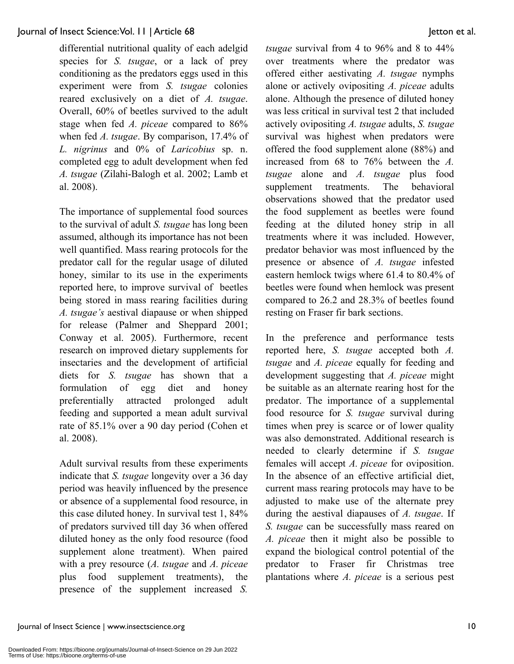differential nutritional quality of each adelgid species for *S. tsugae*, or a lack of prey conditioning as the predators eggs used in this experiment were from *S. tsugae* colonies reared exclusively on a diet of *A. tsugae*. Overall, 60% of beetles survived to the adult stage when fed *A. piceae* compared to 86% when fed *A. tsugae*. By comparison, 17.4% of *L. nigrinus* and 0% of *Laricobius* sp. n. completed egg to adult development when fed *A. tsugae* (Zilahi-Balogh et al. 2002; Lamb et al. 2008).

The importance of supplemental food sources to the survival of adult *S. tsugae* has long been assumed, although its importance has not been well quantified. Mass rearing protocols for the predator call for the regular usage of diluted honey, similar to its use in the experiments reported here, to improve survival of beetles being stored in mass rearing facilities during *A. tsugae's* aestival diapause or when shipped for release (Palmer and Sheppard 2001; Conway et al. 2005). Furthermore, recent research on improved dietary supplements for insectaries and the development of artificial diets for *S. tsugae* has shown that a formulation of egg diet and honey preferentially attracted prolonged adult feeding and supported a mean adult survival rate of 85.1% over a 90 day period (Cohen et al. 2008).

Adult survival results from these experiments indicate that *S. tsugae* longevity over a 36 day period was heavily influenced by the presence or absence of a supplemental food resource, in this case diluted honey. In survival test 1, 84% of predators survived till day 36 when offered diluted honey as the only food resource (food supplement alone treatment). When paired with a prey resource (*A. tsugae* and *A. piceae* plus food supplement treatments), the presence of the supplement increased *S.*

*tsugae* survival from 4 to 96% and 8 to 44% over treatments where the predator was offered either aestivating *A. tsugae* nymphs alone or actively ovipositing *A. piceae* adults alone. Although the presence of diluted honey was less critical in survival test 2 that included actively ovipositing *A. tsugae* adults, *S. tsugae* survival was highest when predators were offered the food supplement alone (88%) and increased from 68 to 76% between the *A. tsugae* alone and *A. tsugae* plus food supplement treatments. The behavioral observations showed that the predator used the food supplement as beetles were found feeding at the diluted honey strip in all treatments where it was included. However, predator behavior was most influenced by the presence or absence of *A. tsugae* infested eastern hemlock twigs where 61.4 to 80.4% of beetles were found when hemlock was present compared to 26.2 and 28.3% of beetles found resting on Fraser fir bark sections.

In the preference and performance tests reported here, *S. tsugae* accepted both *A. tsugae* and *A. piceae* equally for feeding and development suggesting that *A. piceae* might be suitable as an alternate rearing host for the predator. The importance of a supplemental food resource for *S. tsugae* survival during times when prey is scarce or of lower quality was also demonstrated. Additional research is needed to clearly determine if *S. tsugae* females will accept *A. piceae* for oviposition. In the absence of an effective artificial diet, current mass rearing protocols may have to be adjusted to make use of the alternate prey during the aestival diapauses of *A. tsugae*. If *S. tsugae* can be successfully mass reared on *A. piceae* then it might also be possible to expand the biological control potential of the predator to Fraser fir Christmas tree plantations where *A. piceae* is a serious pest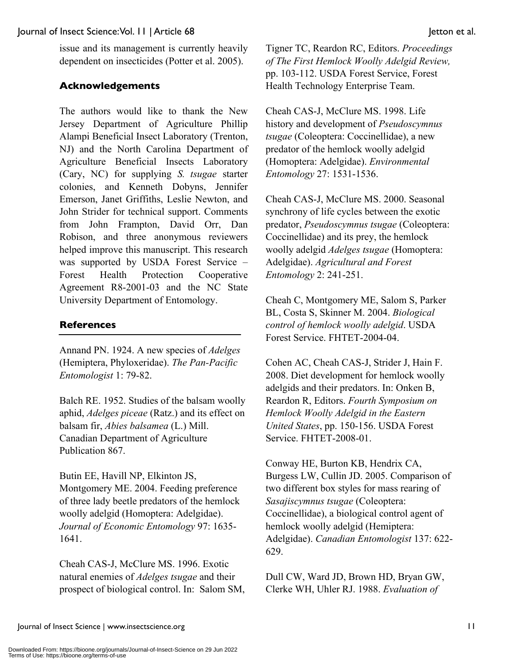issue and its management is currently heavily dependent on insecticides (Potter et al. 2005).

# **Acknowledgements**

The authors would like to thank the New Jersey Department of Agriculture Phillip Alampi Beneficial Insect Laboratory (Trenton, NJ) and the North Carolina Department of Agriculture Beneficial Insects Laboratory (Cary, NC) for supplying *S. tsugae* starter colonies, and Kenneth Dobyns, Jennifer Emerson, Janet Griffiths, Leslie Newton, and John Strider for technical support. Comments from John Frampton, David Orr, Dan Robison, and three anonymous reviewers helped improve this manuscript. This research was supported by USDA Forest Service – Forest Health Protection Cooperative Agreement R8-2001-03 and the NC State University Department of Entomology.

# **References**

Annand PN. 1924. A new species of *Adelges* (Hemiptera, Phyloxeridae). *The Pan-Pacific Entomologist* 1: 79-82.

Balch RE. 1952. Studies of the balsam woolly aphid, *Adelges piceae* (Ratz.) and its effect on balsam fir, *Abies balsamea* (L.) Mill. Canadian Department of Agriculture Publication 867.

Butin EE, Havill NP, Elkinton JS, Montgomery ME. 2004. Feeding preference of three lady beetle predators of the hemlock woolly adelgid (Homoptera: Adelgidae). *Journal of Economic Entomology* 97: 1635- 1641.

Cheah CAS-J, McClure MS. 1996. Exotic natural enemies of *Adelges tsugae* and their prospect of biological control. In: Salom SM, Tigner TC, Reardon RC, Editors. *Proceedings of The First Hemlock Woolly Adelgid Review,* pp. 103-112. USDA Forest Service, Forest Health Technology Enterprise Team.

Cheah CAS-J, McClure MS. 1998. Life history and development of *Pseudoscymnus tsugae* (Coleoptera: Coccinellidae), a new predator of the hemlock woolly adelgid (Homoptera: Adelgidae). *Environmental Entomology* 27: 1531-1536.

Cheah CAS-J, McClure MS. 2000. Seasonal synchrony of life cycles between the exotic predator, *Pseudoscymnus tsugae* (Coleoptera: Coccinellidae) and its prey, the hemlock woolly adelgid *Adelges tsugae* (Homoptera: Adelgidae). *Agricultural and Forest Entomology* 2: 241-251.

Cheah C, Montgomery ME, Salom S, Parker BL, Costa S, Skinner M. 2004. *Biological control of hemlock woolly adelgid*. USDA Forest Service. FHTET-2004-04.

Cohen AC, Cheah CAS-J, Strider J, Hain F. 2008. Diet development for hemlock woolly adelgids and their predators. In: Onken B, Reardon R, Editors. *Fourth Symposium on Hemlock Woolly Adelgid in the Eastern United States*, pp. 150-156. USDA Forest Service. FHTET-2008-01.

Conway HE, Burton KB, Hendrix CA, Burgess LW, Cullin JD. 2005. Comparison of two different box styles for mass rearing of *Sasajiscymnus tsugae* (Coleoptera: Coccinellidae), a biological control agent of hemlock woolly adelgid (Hemiptera: Adelgidae). *Canadian Entomologist* 137: 622- 629.

Dull CW, Ward JD, Brown HD, Bryan GW, Clerke WH, Uhler RJ. 1988. *Evaluation of*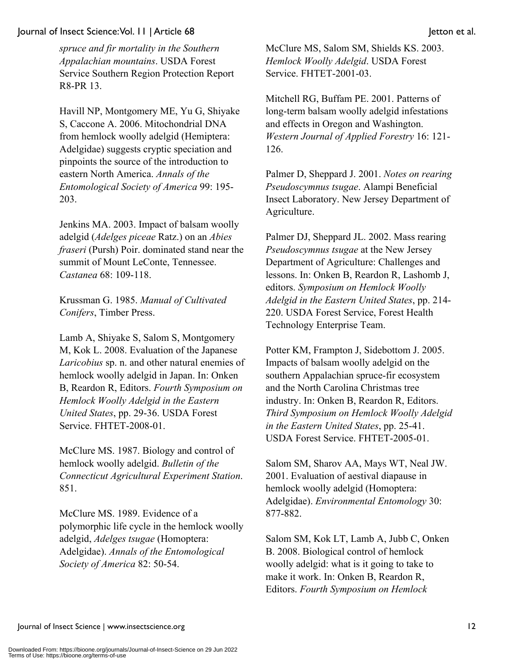*spruce and fir mortality in the Southern Appalachian mountains*. USDA Forest Service Southern Region Protection Report R8-PR 13.

Havill NP, Montgomery ME, Yu G, Shiyake S, Caccone A. 2006. Mitochondrial DNA from hemlock woolly adelgid (Hemiptera: Adelgidae) suggests cryptic speciation and pinpoints the source of the introduction to eastern North America. *Annals of the Entomological Society of America* 99: 195- 203.

Jenkins MA. 2003. Impact of balsam woolly adelgid (*Adelges piceae* Ratz.) on an *Abies fraseri* (Pursh) Poir. dominated stand near the summit of Mount LeConte, Tennessee. *Castanea* 68: 109-118.

Krussman G. 1985. *Manual of Cultivated Conifers*, Timber Press.

Lamb A, Shiyake S, Salom S, Montgomery M, Kok L. 2008. Evaluation of the Japanese *Laricobius* sp. n. and other natural enemies of hemlock woolly adelgid in Japan. In: Onken B, Reardon R, Editors. *Fourth Symposium on Hemlock Woolly Adelgid in the Eastern United States*, pp. 29-36. USDA Forest Service. FHTET-2008-01.

McClure MS. 1987. Biology and control of hemlock woolly adelgid. *Bulletin of the Connecticut Agricultural Experiment Station*. 851.

McClure MS. 1989. Evidence of a polymorphic life cycle in the hemlock woolly adelgid, *Adelges tsugae* (Homoptera: Adelgidae). *Annals of the Entomological Society of America* 82: 50-54.

McClure MS, Salom SM, Shields KS. 2003. *Hemlock Woolly Adelgid*. USDA Forest Service. FHTET-2001-03.

Mitchell RG, Buffam PE. 2001. Patterns of long-term balsam woolly adelgid infestations and effects in Oregon and Washington. *Western Journal of Applied Forestry* 16: 121- 126.

Palmer D, Sheppard J. 2001. *Notes on rearing Pseudoscymnus tsugae*. Alampi Beneficial Insect Laboratory. New Jersey Department of Agriculture.

Palmer DJ, Sheppard JL. 2002. Mass rearing *Pseudoscymnus tsugae* at the New Jersey Department of Agriculture: Challenges and lessons. In: Onken B, Reardon R, Lashomb J, editors. *Symposium on Hemlock Woolly Adelgid in the Eastern United States*, pp. 214- 220. USDA Forest Service, Forest Health Technology Enterprise Team.

Potter KM, Frampton J, Sidebottom J. 2005. Impacts of balsam woolly adelgid on the southern Appalachian spruce-fir ecosystem and the North Carolina Christmas tree industry. In: Onken B, Reardon R, Editors. *Third Symposium on Hemlock Woolly Adelgid in the Eastern United States*, pp. 25-41. USDA Forest Service. FHTET-2005-01.

Salom SM, Sharov AA, Mays WT, Neal JW. 2001. Evaluation of aestival diapause in hemlock woolly adelgid (Homoptera: Adelgidae). *Environmental Entomology* 30: 877-882.

Salom SM, Kok LT, Lamb A, Jubb C, Onken B. 2008. Biological control of hemlock woolly adelgid: what is it going to take to make it work. In: Onken B, Reardon R, Editors. *Fourth Symposium on Hemlock*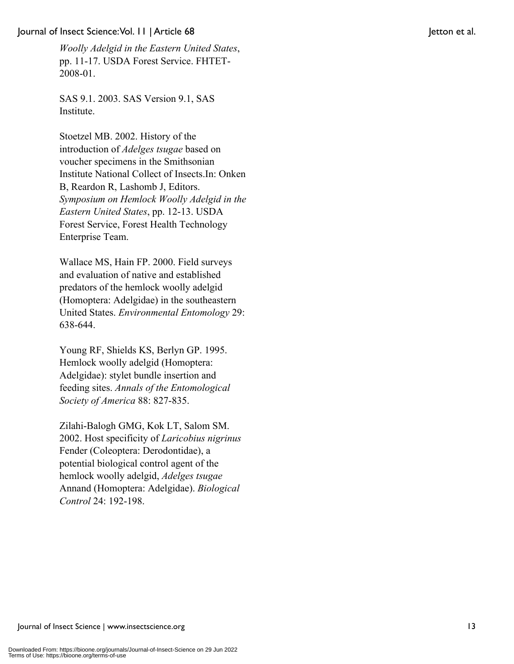*Woolly Adelgid in the Eastern United States*, pp. 11-17. USDA Forest Service. FHTET-2008-01.

SAS 9.1. 2003. SAS Version 9.1, SAS Institute.

Stoetzel MB. 2002. History of the introduction of *Adelges tsugae* based on voucher specimens in the Smithsonian Institute National Collect of Insects.In: Onken B, Reardon R, Lashomb J, Editors. *Symposium on Hemlock Woolly Adelgid in the Eastern United States*, pp. 12-13. USDA Forest Service, Forest Health Technology Enterprise Team.

Wallace MS, Hain FP. 2000. Field surveys and evaluation of native and established predators of the hemlock woolly adelgid (Homoptera: Adelgidae) in the southeastern United States. *Environmental Entomology* 29: 638-644.

Young RF, Shields KS, Berlyn GP. 1995. Hemlock woolly adelgid (Homoptera: Adelgidae): stylet bundle insertion and feeding sites. *Annals of the Entomological Society of America* 88: 827-835.

Zilahi-Balogh GMG, Kok LT, Salom SM. 2002. Host specificity of *Laricobius nigrinus* Fender (Coleoptera: Derodontidae), a potential biological control agent of the hemlock woolly adelgid, *Adelges tsugae* Annand (Homoptera: Adelgidae). *Biological Control* 24: 192-198.